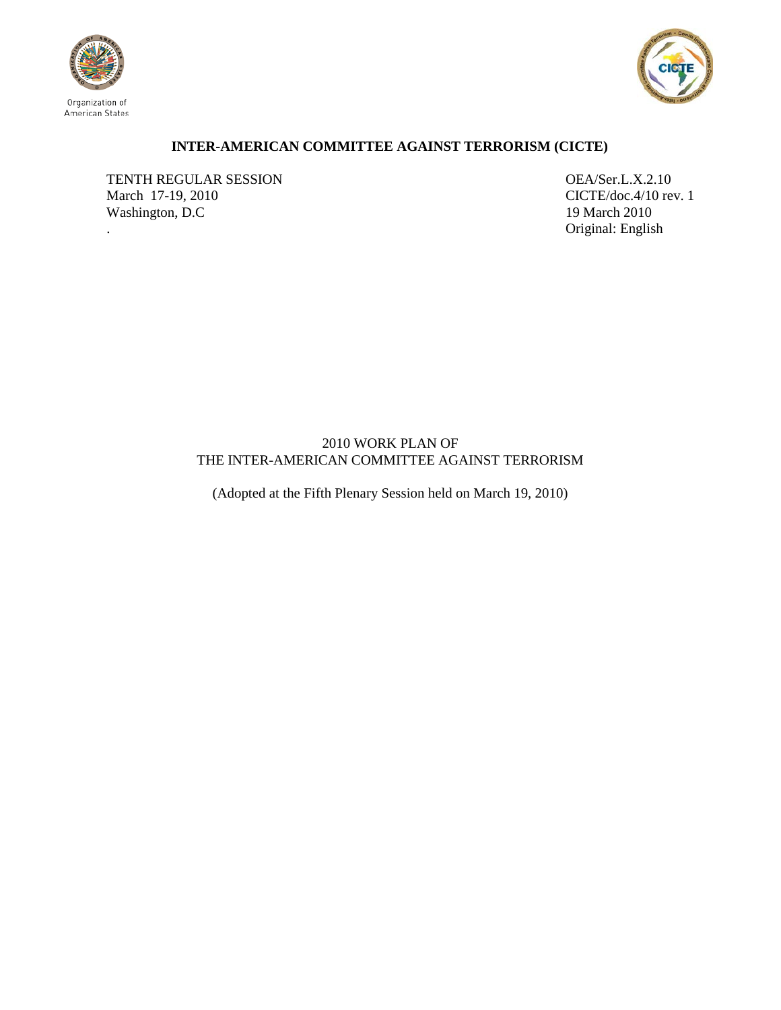



## **INTER-AMERICAN COMMITTEE AGAINST TERRORISM (CICTE)**

TENTH REGULAR SESSION OEA/Ser.L.X.2.10 March 17-19, 2010 CICTE/doc.4/10 rev. 1 Washington, D.C 19 March 2010

. Original: English

## 2010 WORK PLAN OF THE INTER-AMERICAN COMMITTEE AGAINST TERRORISM

(Adopted at the Fifth Plenary Session held on March 19, 2010)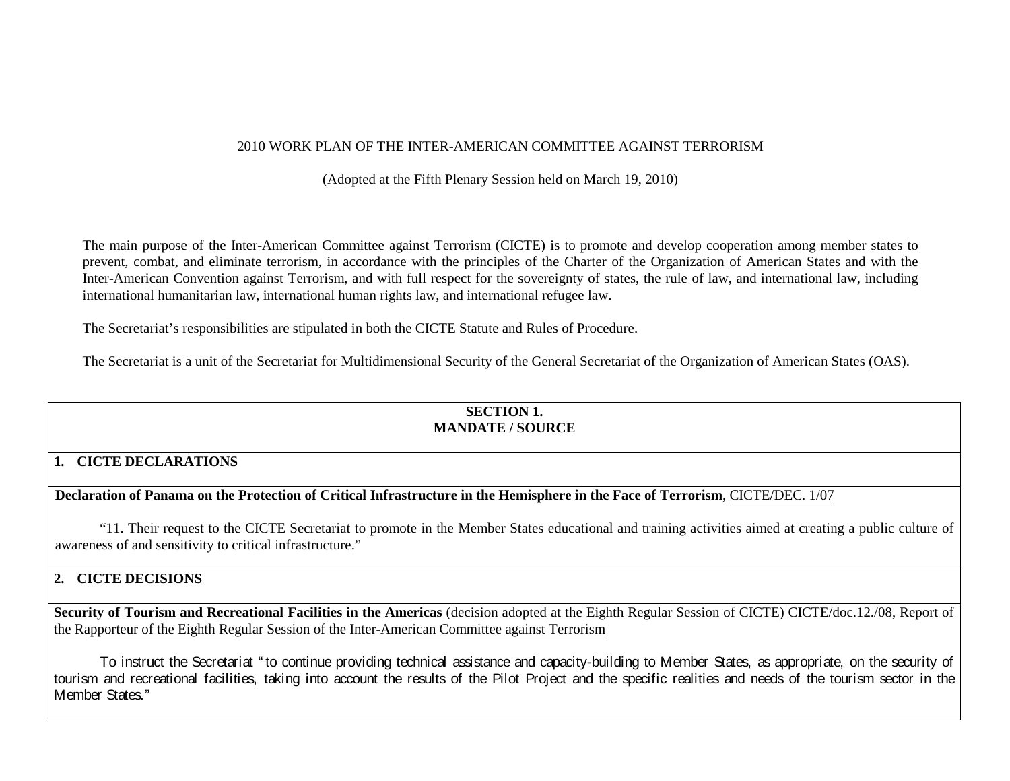## 2010 WORK PLAN OF THE INTER-AMERICAN COMMITTEE AGAINST TERRORISM

(Adopted at the Fifth Plenary Session held on March 19, 2010)

The main purpose of the Inter-American Committee against Terrorism (CICTE) is to promote and develop cooperation among member states to prevent, combat, and eliminate terrorism, in accordance with the principles of the Charter of the Organization of American States and with the Inter-American Convention against Terrorism, and with full respect for the sovereignty of states, the rule of law, and international law, including international humanitarian law, international human rights law, and international refugee law.

The Secretariat's responsibilities are stipulated in both the CICTE Statute and Rules of Procedure.

The Secretariat is a unit of the Secretariat for Multidimensional Security of the General Secretariat of the Organization of American States (OAS).

## **SECTION 1. MANDATE / SOURCE**

# **1. CICTE DECLARATIONS**

**Declaration of Panama on the Protection of Critical Infrastructure in the Hemisphere in the Face of Terrorism**, CICTE/DEC. 1/07

"11. Their request to the CICTE Secretariat to promote in the Member States educational and training activities aimed at creating a public culture of awareness of and sensitivity to critical infrastructure."

## **2. CICTE DECISIONS**

**Security of Tourism and Recreational Facilities in the Americas** (decision adopted at the Eighth Regular Session of CICTE) CICTE/doc.12./08, Report of the Rapporteur of the Eighth Regular Session of the Inter-American Committee against Terrorism

To instruct the Secretariat " to continue providing technical assistance and capacity-building to Member States, as appropriate, on the security of tourism and recreational facilities, taking into account the results of the Pilot Project and the specific realities and needs of the tourism sector in the Member States."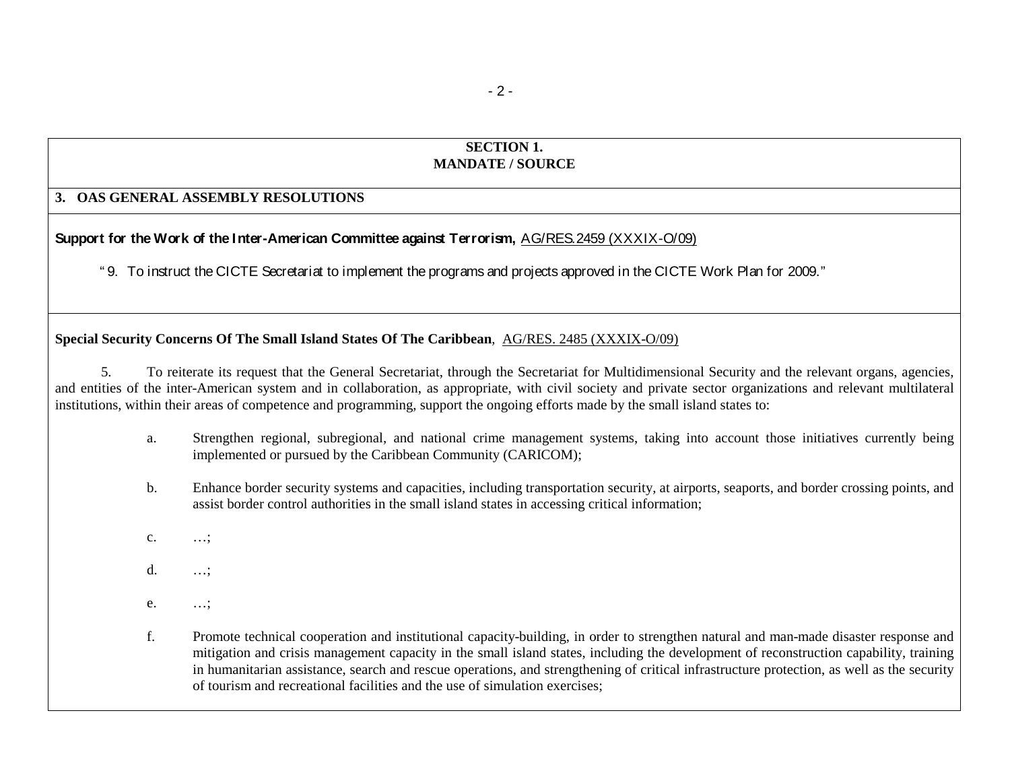### **SECTION 1. MANDATE / SOURCE**

### **3. OAS GENERAL ASSEMBLY RESOLUTIONS**

# **Support for the Work of the Inter-American Committee against Terrorism,** AG/RES.2459 (XXXIX-O/09)

" 9. To instruct the CICTE Secretariat to implement the programs and projects approved in the CICTE Work Plan for 2009."

# **Special Security Concerns Of The Small Island States Of The Caribbean**, AG/RES. 2485 (XXXIX-O/09)

5. To reiterate its request that the General Secretariat, through the Secretariat for Multidimensional Security and the relevant organs, agencies, and entities of the inter-American system and in collaboration, as appropriate, with civil society and private sector organizations and relevant multilateral institutions, within their areas of competence and programming, support the ongoing efforts made by the small island states to:

- a. Strengthen regional, subregional, and national crime management systems, taking into account those initiatives currently being implemented or pursued by the Caribbean Community (CARICOM);
- b. Enhance border security systems and capacities, including transportation security, at airports, seaports, and border crossing points, and assist border control authorities in the small island states in accessing critical information;
- c. …;
- d. …;
- e. …;
- f. Promote technical cooperation and institutional capacity-building, in order to strengthen natural and man-made disaster response and mitigation and crisis management capacity in the small island states, including the development of reconstruction capability, training in humanitarian assistance, search and rescue operations, and strengthening of critical infrastructure protection, as well as the security of tourism and recreational facilities and the use of simulation exercises;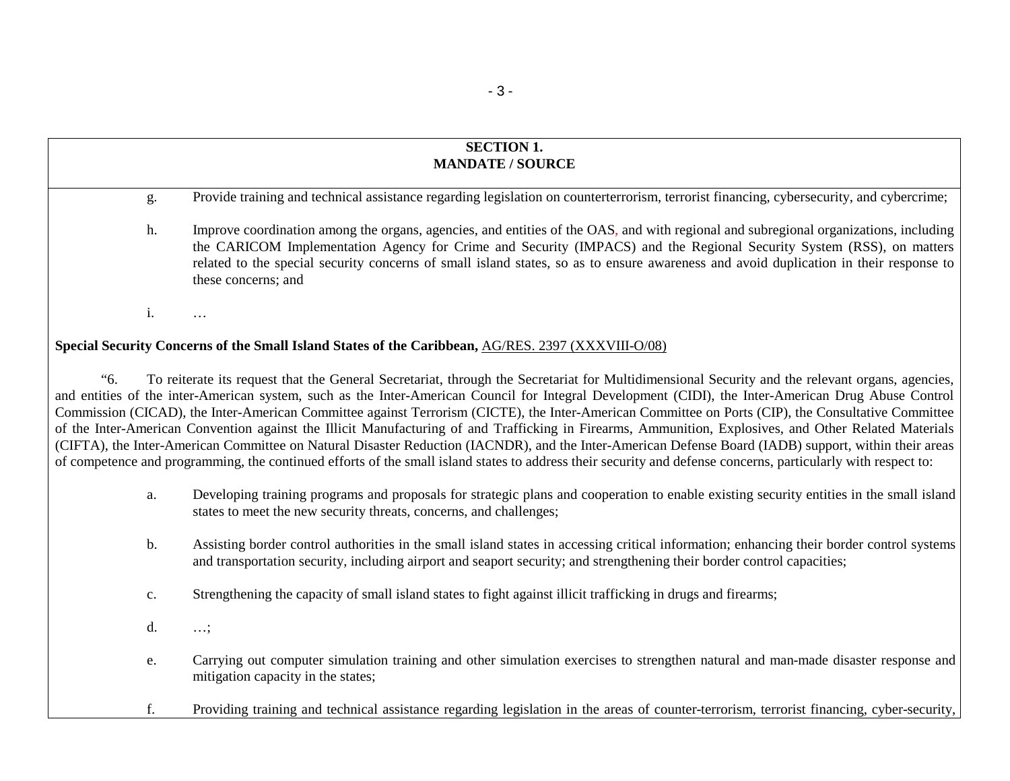## **SECTION 1. MANDATE / SOURCE**

g. Provide training and technical assistance regarding legislation on counterterrorism, terrorist financing, cybersecurity, and cybercrime;

h. Improve coordination among the organs, agencies, and entities of the OAS, and with regional and subregional organizations, including the CARICOM Implementation Agency for Crime and Security (IMPACS) and the Regional Security System (RSS), on matters related to the special security concerns of small island states, so as to ensure awareness and avoid duplication in their response to these concerns; and

i. …

#### **Special Security Concerns of the Small Island States of the Caribbean,** AG/RES. 2397 (XXXVIII-O/08)

"6. To reiterate its request that the General Secretariat, through the Secretariat for Multidimensional Security and the relevant organs, agencies, and entities of the inter-American system, such as the Inter-American Council for Integral Development (CIDI), the Inter-American Drug Abuse Control Commission (CICAD), the Inter-American Committee against Terrorism (CICTE), the Inter-American Committee on Ports (CIP), the Consultative Committee of the Inter-American Convention against the Illicit Manufacturing of and Trafficking in Firearms, Ammunition, Explosives, and Other Related Materials (CIFTA), the Inter-American Committee on Natural Disaster Reduction (IACNDR), and the Inter-American Defense Board (IADB) support, within their areas of competence and programming, the continued efforts of the small island states to address their security and defense concerns, particularly with respect to:

- a. Developing training programs and proposals for strategic plans and cooperation to enable existing security entities in the small island states to meet the new security threats, concerns, and challenges;
- b. Assisting border control authorities in the small island states in accessing critical information; enhancing their border control systems and transportation security, including airport and seaport security; and strengthening their border control capacities;
- c. Strengthening the capacity of small island states to fight against illicit trafficking in drugs and firearms;
- d. …;
- e. Carrying out computer simulation training and other simulation exercises to strengthen natural and man-made disaster response and mitigation capacity in the states;
- f. Providing training and technical assistance regarding legislation in the areas of counter-terrorism, terrorist financing, cyber-security,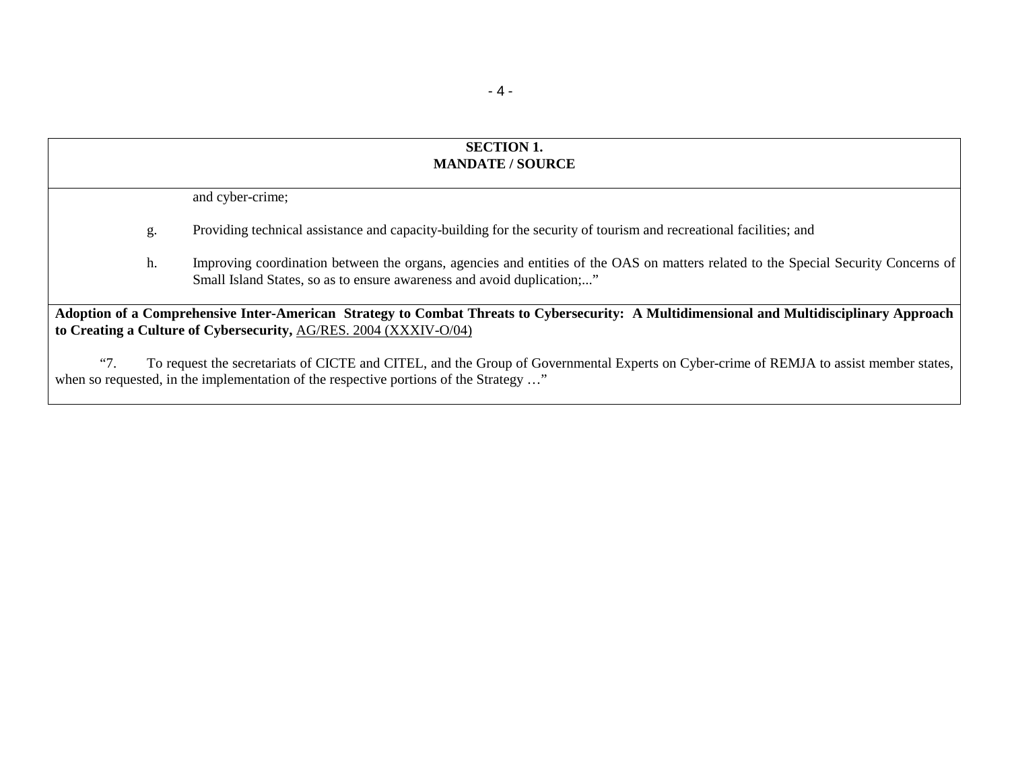## **SECTION 1. MANDATE / SOURCE**

and cyber-crime;

- g. Providing technical assistance and capacity-building for the security of tourism and recreational facilities; and
- h. Improving coordination between the organs, agencies and entities of the OAS on matters related to the Special Security Concerns of Small Island States, so as to ensure awareness and avoid duplication;..."

**Adoption of a Comprehensive Inter-American Strategy to Combat Threats to Cybersecurity: A Multidimensional and Multidisciplinary Approach to Creating a Culture of Cybersecurity,** AG/RES. 2004 (XXXIV-O/04)

"7. To request the secretariats of CICTE and CITEL, and the Group of Governmental Experts on Cyber-crime of REMJA to assist member states, when so requested, in the implementation of the respective portions of the Strategy ..."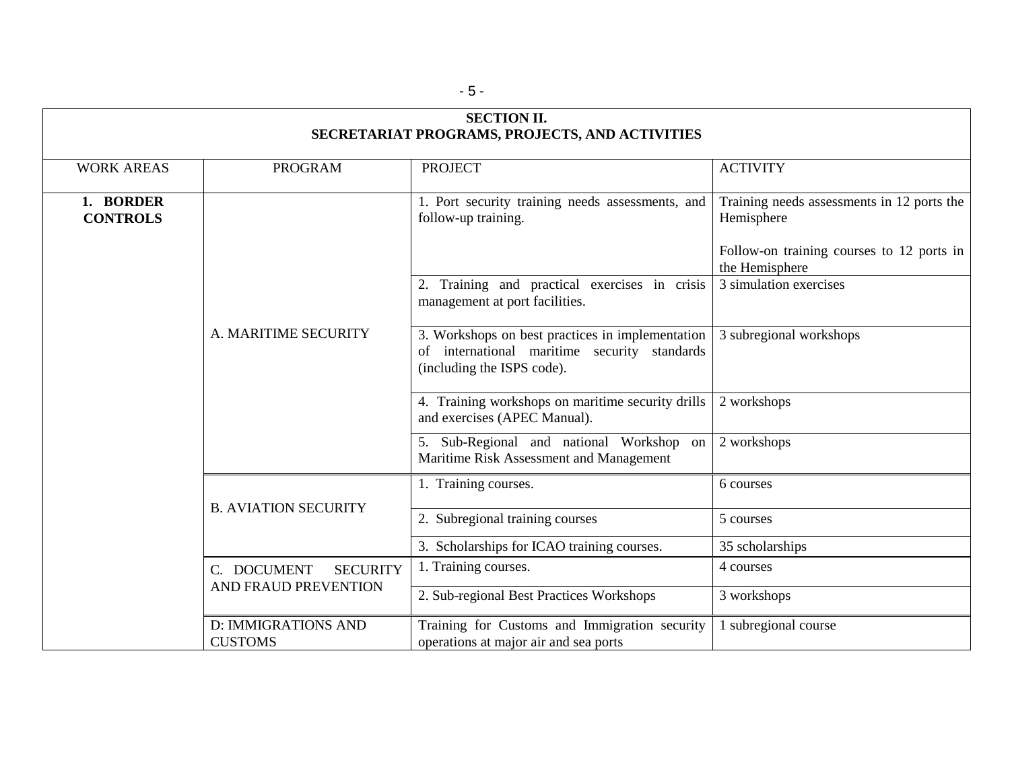| <b>SECTION II.</b><br>SECRETARIAT PROGRAMS, PROJECTS, AND ACTIVITIES |                                                        |                                                                                                                                |                                                             |  |  |
|----------------------------------------------------------------------|--------------------------------------------------------|--------------------------------------------------------------------------------------------------------------------------------|-------------------------------------------------------------|--|--|
|                                                                      |                                                        |                                                                                                                                |                                                             |  |  |
| <b>WORK AREAS</b>                                                    | <b>PROGRAM</b>                                         | <b>PROJECT</b>                                                                                                                 | <b>ACTIVITY</b>                                             |  |  |
| 1. BORDER<br><b>CONTROLS</b>                                         |                                                        | 1. Port security training needs assessments, and<br>follow-up training.                                                        | Training needs assessments in 12 ports the<br>Hemisphere    |  |  |
|                                                                      |                                                        |                                                                                                                                | Follow-on training courses to 12 ports in<br>the Hemisphere |  |  |
|                                                                      |                                                        | 2. Training and practical exercises in crisis<br>management at port facilities.                                                | 3 simulation exercises                                      |  |  |
|                                                                      | A. MARITIME SECURITY                                   | 3. Workshops on best practices in implementation<br>of international maritime security standards<br>(including the ISPS code). | 3 subregional workshops                                     |  |  |
|                                                                      |                                                        | 4. Training workshops on maritime security drills<br>and exercises (APEC Manual).                                              | 2 workshops                                                 |  |  |
|                                                                      |                                                        | 5. Sub-Regional and national Workshop on<br>Maritime Risk Assessment and Management                                            | 2 workshops                                                 |  |  |
|                                                                      | <b>B. AVIATION SECURITY</b>                            | 1. Training courses.                                                                                                           | 6 courses                                                   |  |  |
|                                                                      |                                                        | 2. Subregional training courses                                                                                                | 5 courses                                                   |  |  |
|                                                                      |                                                        | 3. Scholarships for ICAO training courses.                                                                                     | 35 scholarships                                             |  |  |
|                                                                      | C. DOCUMENT<br><b>SECURITY</b><br>AND FRAUD PREVENTION | 1. Training courses.                                                                                                           | 4 courses                                                   |  |  |
|                                                                      |                                                        | 2. Sub-regional Best Practices Workshops                                                                                       | 3 workshops                                                 |  |  |
|                                                                      | <b>D: IMMIGRATIONS AND</b><br><b>CUSTOMS</b>           | Training for Customs and Immigration security<br>operations at major air and sea ports                                         | 1 subregional course                                        |  |  |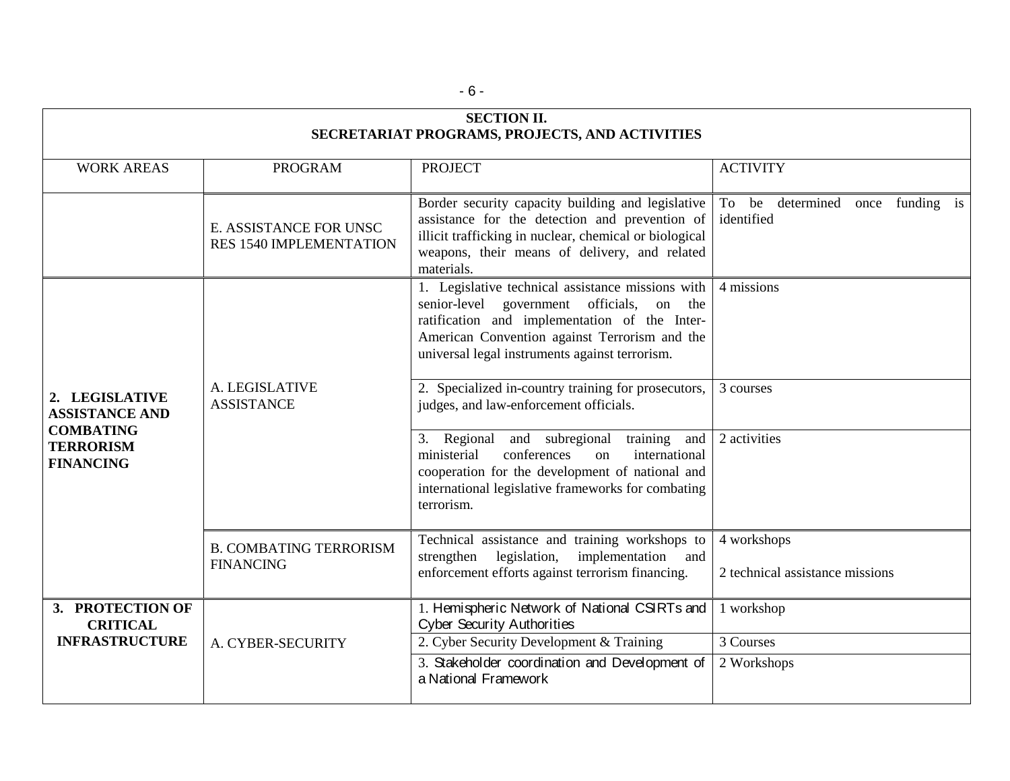| <b>SECTION II.</b><br>SECRETARIAT PROGRAMS, PROJECTS, AND ACTIVITIES                                |                                                          |                                                                                                                                                                                                                                                       |                                                         |  |  |
|-----------------------------------------------------------------------------------------------------|----------------------------------------------------------|-------------------------------------------------------------------------------------------------------------------------------------------------------------------------------------------------------------------------------------------------------|---------------------------------------------------------|--|--|
| <b>WORK AREAS</b>                                                                                   | <b>PROGRAM</b>                                           | <b>PROJECT</b>                                                                                                                                                                                                                                        | <b>ACTIVITY</b>                                         |  |  |
|                                                                                                     | E. ASSISTANCE FOR UNSC<br><b>RES 1540 IMPLEMENTATION</b> | Border security capacity building and legislative<br>assistance for the detection and prevention of<br>illicit trafficking in nuclear, chemical or biological<br>weapons, their means of delivery, and related<br>materials.                          | To be<br>determined<br>funding is<br>once<br>identified |  |  |
| 2. LEGISLATIVE<br><b>ASSISTANCE AND</b><br><b>COMBATING</b><br><b>TERRORISM</b><br><b>FINANCING</b> | A. LEGISLATIVE<br><b>ASSISTANCE</b>                      | 1. Legislative technical assistance missions with<br>senior-level government officials,<br>on the<br>ratification and implementation of the Inter-<br>American Convention against Terrorism and the<br>universal legal instruments against terrorism. | 4 missions                                              |  |  |
|                                                                                                     |                                                          | 2. Specialized in-country training for prosecutors,<br>judges, and law-enforcement officials.                                                                                                                                                         | 3 courses                                               |  |  |
|                                                                                                     |                                                          | 3. Regional and subregional<br>training<br>and<br>ministerial<br>conferences<br>international<br>on<br>cooperation for the development of national and<br>international legislative frameworks for combating<br>terrorism.                            | 2 activities                                            |  |  |
|                                                                                                     | <b>B. COMBATING TERRORISM</b><br><b>FINANCING</b>        | Technical assistance and training workshops to<br>strengthen<br>implementation<br>legislation,<br>and<br>enforcement efforts against terrorism financing.                                                                                             | 4 workshops<br>2 technical assistance missions          |  |  |
| 3. PROTECTION OF<br><b>CRITICAL</b><br><b>INFRASTRUCTURE</b>                                        | A. CYBER-SECURITY                                        | 1. Hemispheric Network of National CSIRTs and<br><b>Cyber Security Authorities</b>                                                                                                                                                                    | 1 workshop                                              |  |  |
|                                                                                                     |                                                          | 2. Cyber Security Development & Training                                                                                                                                                                                                              | 3 Courses                                               |  |  |
|                                                                                                     |                                                          | 3. Stakeholder coordination and Development of<br>a National Framework                                                                                                                                                                                | 2 Workshops                                             |  |  |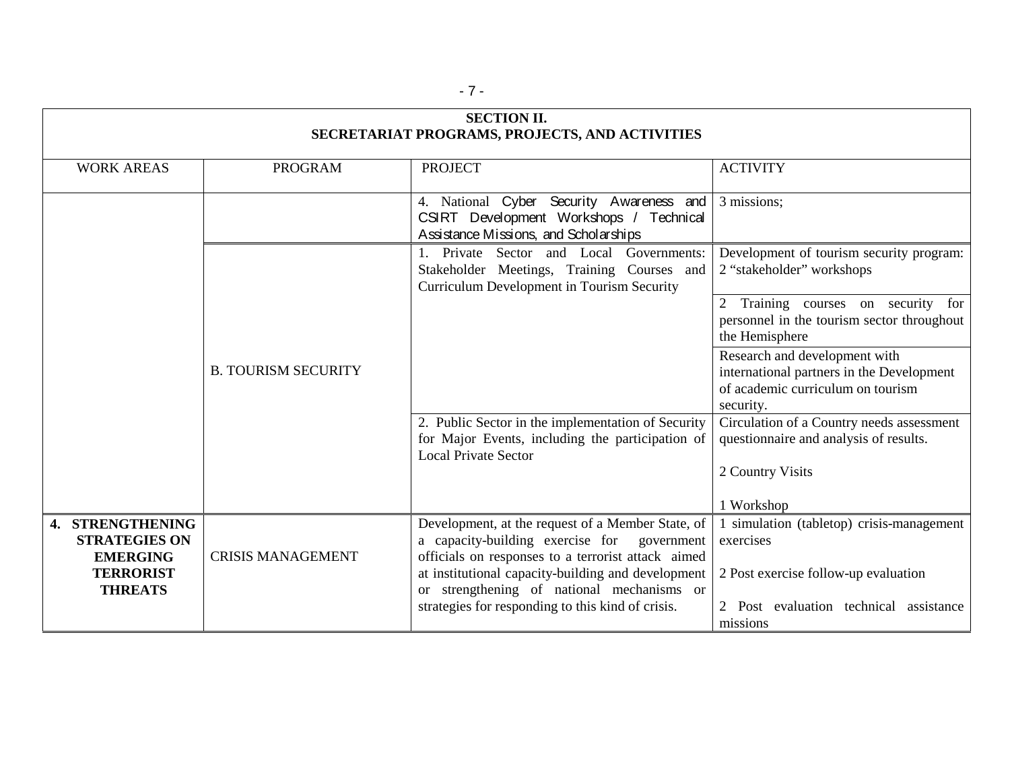| <b>SECTION II.</b><br>SECRETARIAT PROGRAMS, PROJECTS, AND ACTIVITIES            |                            |                                                                                                                                                                                                                 |                                                                                                                              |  |  |
|---------------------------------------------------------------------------------|----------------------------|-----------------------------------------------------------------------------------------------------------------------------------------------------------------------------------------------------------------|------------------------------------------------------------------------------------------------------------------------------|--|--|
| <b>WORK AREAS</b>                                                               | <b>PROGRAM</b>             | <b>PROJECT</b>                                                                                                                                                                                                  | <b>ACTIVITY</b>                                                                                                              |  |  |
|                                                                                 |                            | 4. National Cyber Security Awareness and<br>CSIRT Development Workshops / Technical<br>Assistance Missions, and Scholarships                                                                                    | 3 missions;                                                                                                                  |  |  |
|                                                                                 |                            | Governments:<br>1. Private Sector and Local<br>Stakeholder Meetings, Training Courses and<br>Curriculum Development in Tourism Security                                                                         | Development of tourism security program:<br>2 "stakeholder" workshops                                                        |  |  |
|                                                                                 |                            |                                                                                                                                                                                                                 | Training courses on security<br>for<br>2<br>personnel in the tourism sector throughout<br>the Hemisphere                     |  |  |
|                                                                                 | <b>B. TOURISM SECURITY</b> |                                                                                                                                                                                                                 | Research and development with<br>international partners in the Development<br>of academic curriculum on tourism<br>security. |  |  |
|                                                                                 |                            | 2. Public Sector in the implementation of Security<br>for Major Events, including the participation of<br><b>Local Private Sector</b>                                                                           | Circulation of a Country needs assessment<br>questionnaire and analysis of results.                                          |  |  |
|                                                                                 |                            |                                                                                                                                                                                                                 | 2 Country Visits<br>1 Workshop                                                                                               |  |  |
| 4. STRENGTHENING<br><b>STRATEGIES ON</b><br><b>EMERGING</b><br><b>TERRORIST</b> | <b>CRISIS MANAGEMENT</b>   | Development, at the request of a Member State, of<br>a capacity-building exercise for<br>government<br>officials on responses to a terrorist attack aimed<br>at institutional capacity-building and development | 1 simulation (tabletop) crisis-management<br>exercises<br>2 Post exercise follow-up evaluation                               |  |  |
| <b>THREATS</b>                                                                  |                            | or strengthening of national mechanisms or<br>strategies for responding to this kind of crisis.                                                                                                                 | 2 Post evaluation technical assistance<br>missions                                                                           |  |  |

- 7 -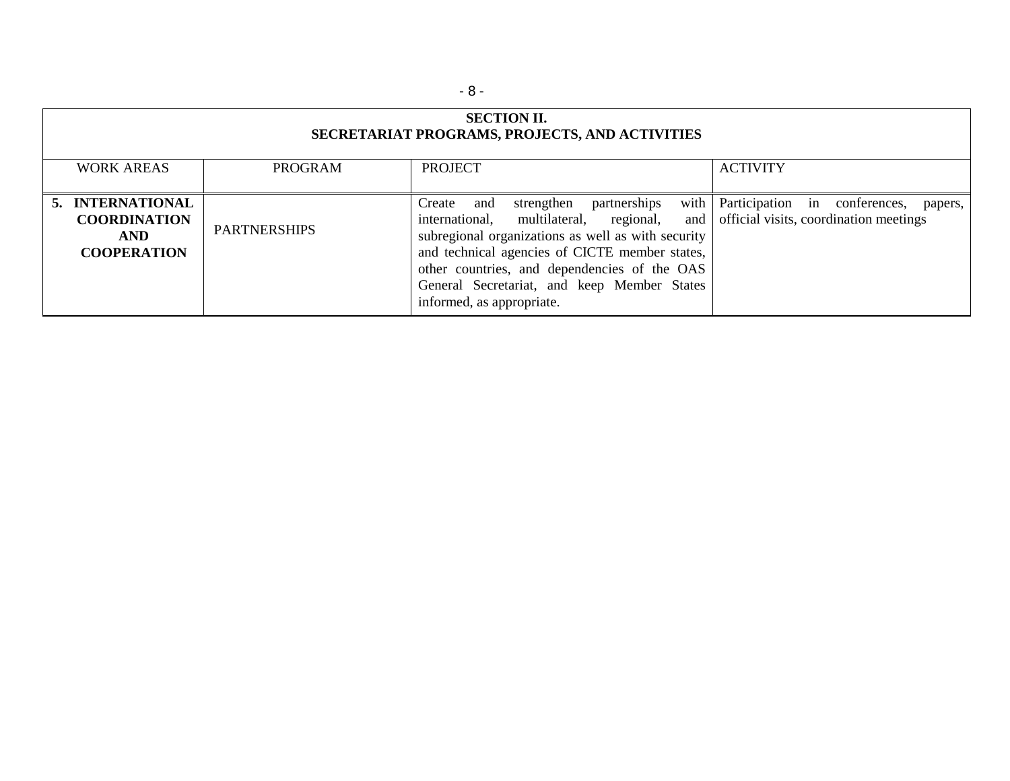| <b>SECTION II.</b><br>SECRETARIAT PROGRAMS, PROJECTS, AND ACTIVITIES        |                     |                                                                                                                                                                                                                                                                                                                                          |                                                                                    |  |  |
|-----------------------------------------------------------------------------|---------------------|------------------------------------------------------------------------------------------------------------------------------------------------------------------------------------------------------------------------------------------------------------------------------------------------------------------------------------------|------------------------------------------------------------------------------------|--|--|
| <b>WORK AREAS</b>                                                           | <b>PROGRAM</b>      | <b>PROJECT</b>                                                                                                                                                                                                                                                                                                                           | <b>ACTIVITY</b>                                                                    |  |  |
| 5. INTERNATIONAL<br><b>COORDINATION</b><br><b>AND</b><br><b>COOPERATION</b> | <b>PARTNERSHIPS</b> | with<br>strengthen<br>partnerships<br>Create and<br>multilateral, regional,<br>international,<br>and<br>subregional organizations as well as with security<br>and technical agencies of CICTE member states,<br>other countries, and dependencies of the OAS<br>General Secretariat, and keep Member States<br>informed, as appropriate. | Participation in conferences,<br>papers,<br>official visits, coordination meetings |  |  |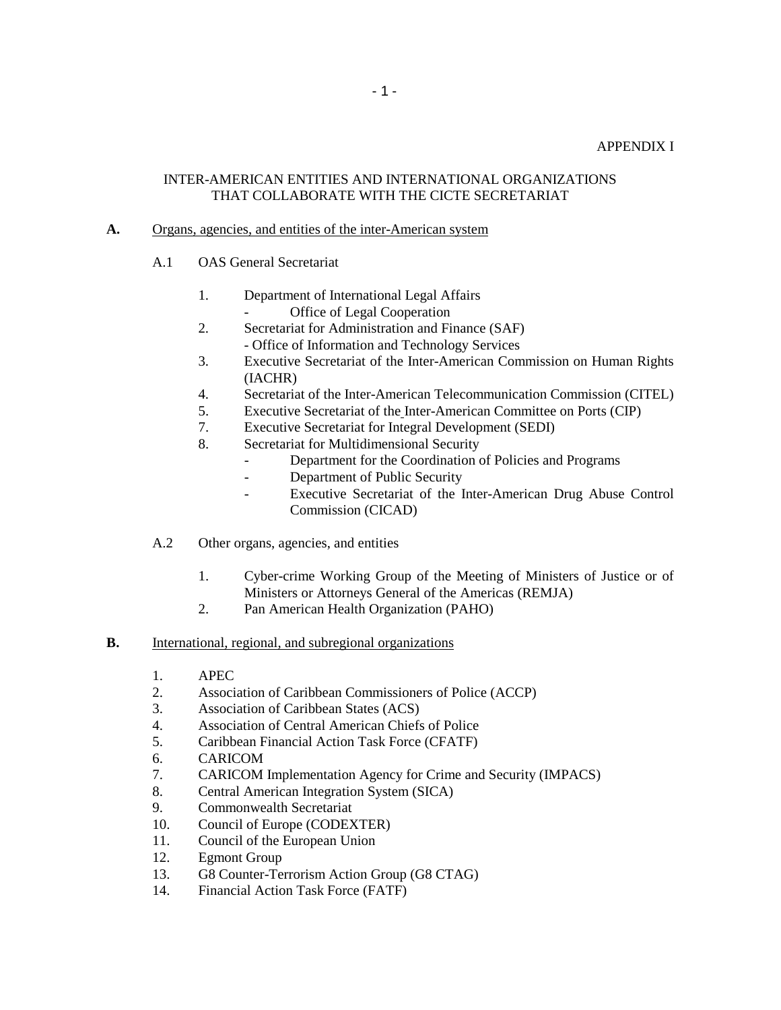### APPENDIX I

## INTER-AMERICAN ENTITIES AND INTERNATIONAL ORGANIZATIONS THAT COLLABORATE WITH THE CICTE SECRETARIAT

### **A.** Organs, agencies, and entities of the inter-American system

- A.1 OAS General Secretariat
	- 1. Department of International Legal Affairs Office of Legal Cooperation
	- 2. Secretariat for Administration and Finance (SAF)
		- Office of Information and Technology Services
	- 3. Executive Secretariat of the Inter-American Commission on Human Rights (IACHR)
	- 4. Secretariat of the Inter-American Telecommunication Commission (CITEL)
	- 5. Executive Secretariat of the Inter-American Committee on Ports (CIP)
	- 7. Executive Secretariat for Integral Development (SEDI)
	- 8. Secretariat for Multidimensional Security
		- Department for the Coordination of Policies and Programs
		- Department of Public Security
		- Executive Secretariat of the Inter-American Drug Abuse Control Commission (CICAD)
- A.2 Other organs, agencies, and entities
	- 1. Cyber-crime Working Group of the Meeting of Ministers of Justice or of Ministers or Attorneys General of the Americas (REMJA)
	- 2. Pan American Health Organization (PAHO)

#### **B.** International, regional, and subregional organizations

- 1. APEC
- 2. Association of Caribbean Commissioners of Police (ACCP)
- 3. Association of Caribbean States (ACS)
- 4. Association of Central American Chiefs of Police
- 5. Caribbean Financial Action Task Force (CFATF)
- 6. CARICOM
- 7. CARICOM Implementation Agency for Crime and Security (IMPACS)
- 8. Central American Integration System (SICA)
- 9. Commonwealth Secretariat
- 10. Council of Europe (CODEXTER)
- 11. Council of the European Union
- 12. Egmont Group
- 13. G8 Counter-Terrorism Action Group (G8 CTAG)
- 14. Financial Action Task Force (FATF)